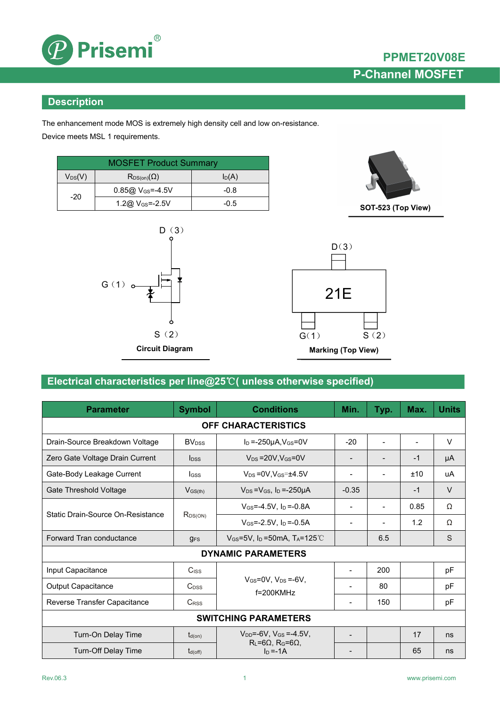

#### **Description**

The enhancement mode MOS is extremely high density cell and low on-resistance. Device meets MSL 1 requirements.

| <b>MOSFET Product Summary</b> |                                  |        |  |  |
|-------------------------------|----------------------------------|--------|--|--|
| $\mathsf{V_{DS}}(\mathsf{V})$ | $I_D(A)$<br>$R_{DS(on)}(\Omega)$ |        |  |  |
| $-20$                         | 0.85@ V <sub>GS</sub> =-4.5V     | $-0.8$ |  |  |
|                               | 1.2@ $V_{GS} = -2.5V$            | $-0.5$ |  |  |





### **Electrical characteristics per line@25**℃**( unless otherwise specified)**

| <b>Parameter</b>                  | <b>Symbol</b>            | <b>Conditions</b>                                         | Min.                     | Typ.                     | Max. | <b>Units</b> |
|-----------------------------------|--------------------------|-----------------------------------------------------------|--------------------------|--------------------------|------|--------------|
|                                   |                          | <b>OFF CHARACTERISTICS</b>                                |                          |                          |      |              |
| Drain-Source Breakdown Voltage    | <b>BV</b> <sub>DSS</sub> | $I_D = -250\mu A$ , $V_{GS} = 0V$                         | $-20$                    |                          |      | V            |
| Zero Gate Voltage Drain Current   | $I_{DSS}$                | $V_{DS}$ = 20V, $V_{GS}$ = 0V                             | $\blacksquare$           | $\overline{\phantom{a}}$ | $-1$ | μA           |
| Gate-Body Leakage Current         | <b>I</b> GSS             | $V_{DS} = 0V$ , $V_{GS} = \pm 4.5V$                       |                          | $\overline{\phantom{a}}$ | ±10  | uA           |
| Gate Threshold Voltage            | $V_{GS(th)}$             | $V_{DS} = V_{GS}$ , $I_D = -250 \mu A$                    | $-0.35$                  |                          | $-1$ | V            |
|                                   | $R_{DS(ON)}$             | $V_{GS} = -4.5V$ , $I_D = -0.8A$                          |                          | $\overline{\phantom{0}}$ | 0.85 | Ω            |
| Static Drain-Source On-Resistance |                          | $V_{GS} = -2.5V$ , $I_D = -0.5A$                          |                          | $\overline{\phantom{a}}$ | 1.2  | Ω            |
| Forward Tran conductance          | $g_{FS}$                 | $V_{GS}$ =5V, I <sub>D</sub> =50mA, T <sub>A</sub> =125°C |                          | 6.5                      |      | S            |
|                                   |                          | <b>DYNAMIC PARAMETERS</b>                                 |                          |                          |      |              |
| Input Capacitance                 | C <sub>ISS</sub>         |                                                           | $\overline{\phantom{a}}$ | 200                      |      | pF           |
| Output Capacitance                | $C_{DSS}$                | $V_{GS}$ =0V, $V_{DS}$ =-6V,<br>f=200KMHz                 | $\overline{\phantom{a}}$ | 80                       |      | pF           |
| Reverse Transfer Capacitance      | C <sub>RSS</sub>         |                                                           | $\overline{\phantom{0}}$ | 150                      |      | pF           |
|                                   |                          | <b>SWITCHING PARAMETERS</b>                               |                          |                          |      |              |
| Turn-On Delay Time                | $t_{d(on)}$              | $V_{DD} = -6V$ , $V_{GS} = -4.5V$ ,                       | $\overline{\phantom{0}}$ |                          | 17   | ns           |
| Turn-Off Delay Time               | $t_{d(off)}$             | $R_L = 6\Omega$ , $R_G = 6\Omega$ ,<br>$I_D = -1A$        |                          |                          | 65   | ns           |

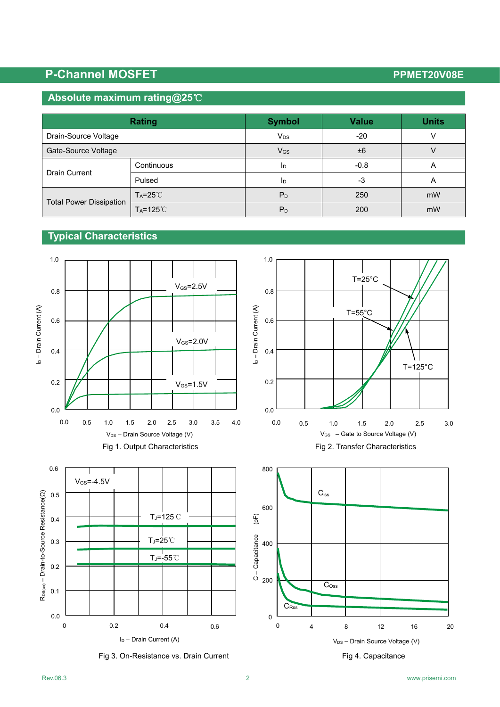# **P-Channel MOSFET PPMET20V08E**

#### **Absolute maximum rating@25**℃

|                                | <b>Rating</b>        | <b>Symbol</b>     | <b>Value</b> | <b>Units</b>   |
|--------------------------------|----------------------|-------------------|--------------|----------------|
| Drain-Source Voltage           |                      | $V_{DS}$          | $-20$        |                |
| Gate-Source Voltage            |                      | $V$ <sub>GS</sub> | ±6           |                |
| <b>Drain Current</b>           | Continuous           | 1 <sub>D</sub>    | $-0.8$       | $\overline{ }$ |
|                                | Pulsed               | I <sub>D</sub>    | -3           | $\overline{ }$ |
| <b>Total Power Dissipation</b> | $T_A = 25^{\circ}$   | $P_D$             | 250          | mW             |
|                                | $T_A = 125^{\circ}C$ | $P_D$             | 200          | mW             |

## **Typical Characteristics**



Fig 3. On-Resistance vs. Drain Current Fig 3. On-Resistance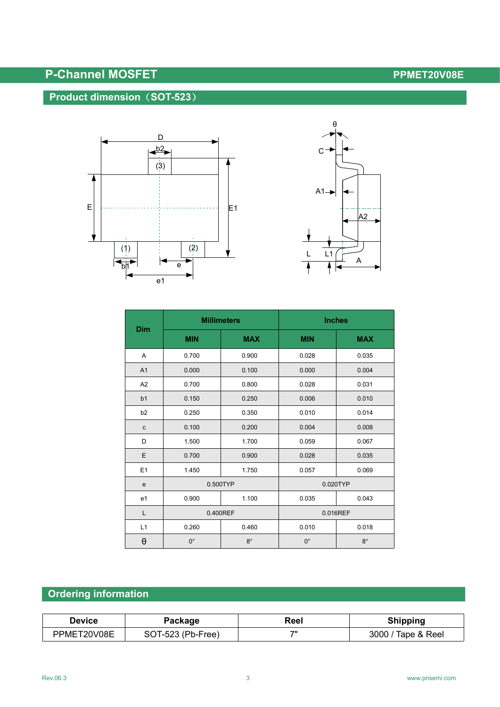# **P-Channel MOSFET PPMET20V08E**

### **Product dimension**(**SOT-523**)





| Dim                   | <b>Millimeters</b> |             | <b>Inches</b> |             |  |
|-----------------------|--------------------|-------------|---------------|-------------|--|
|                       | <b>MIN</b>         | <b>MAX</b>  | <b>MIN</b>    | <b>MAX</b>  |  |
| A                     | 0.700              | 0.900       | 0.028         | 0.035       |  |
| A1                    | 0.000              | 0.100       | 0.000         | 0.004       |  |
| A2                    | 0.700              | 0.800       | 0.028         | 0.031       |  |
| b <sub>1</sub>        | 0.150              | 0.250       | 0.006         | 0.010       |  |
| b2                    | 0.250              | 0.350       | 0.010         | 0.014       |  |
| $\mathbf c$           | 0.100              | 0.200       | 0.004         | 0.008       |  |
| D                     | 1.500              | 1.700       | 0.059         | 0.067       |  |
| E                     | 0.700              | 0.900       | 0.028         | 0.035       |  |
| E1                    | 1.450              | 1.750       | 0.057         | 0.069       |  |
| $\mathbf e$           | 0.500TYP           |             | 0.020TYP      |             |  |
| e <sub>1</sub>        | 0.900              | 1.100       | 0.035         | 0.043       |  |
| L                     | 0.400REF           |             | 0.016REF      |             |  |
| L1                    | 0.260              | 0.460       | 0.010         | 0.018       |  |
| $\boldsymbol{\theta}$ | $0^{\circ}$        | $8^{\circ}$ | $0^{\circ}$   | $8^{\circ}$ |  |

## **Ordering information**

| Device | Package   | Reel | nippinc     |
|--------|-----------|------|-------------|
| 20V08E | (Pb-Free) | 711  | 3000        |
| PPME   | าเ        |      | Tape & Reel |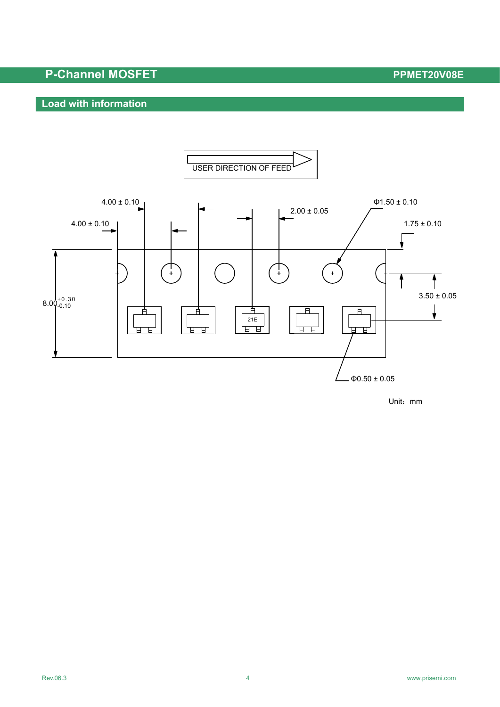## **P-Channel MOSFET PPMET20V08E**

### **Load with information**



Unit:mm